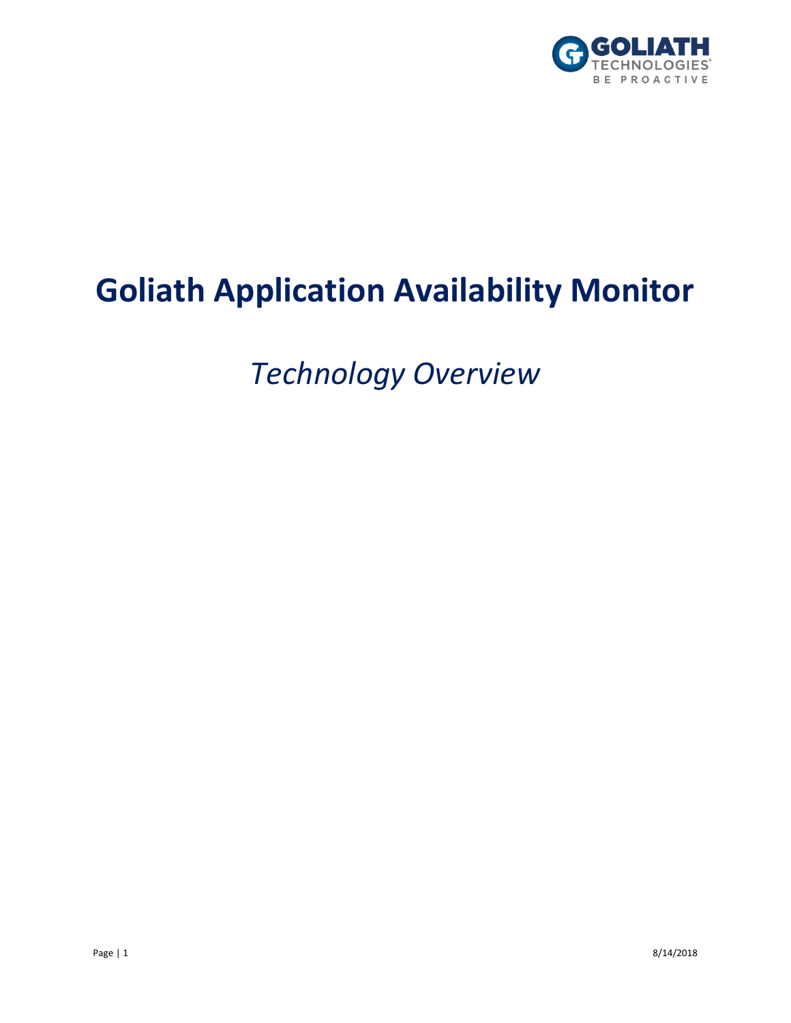

# **Goliath Application Availability Monitor**

*Technology Overview*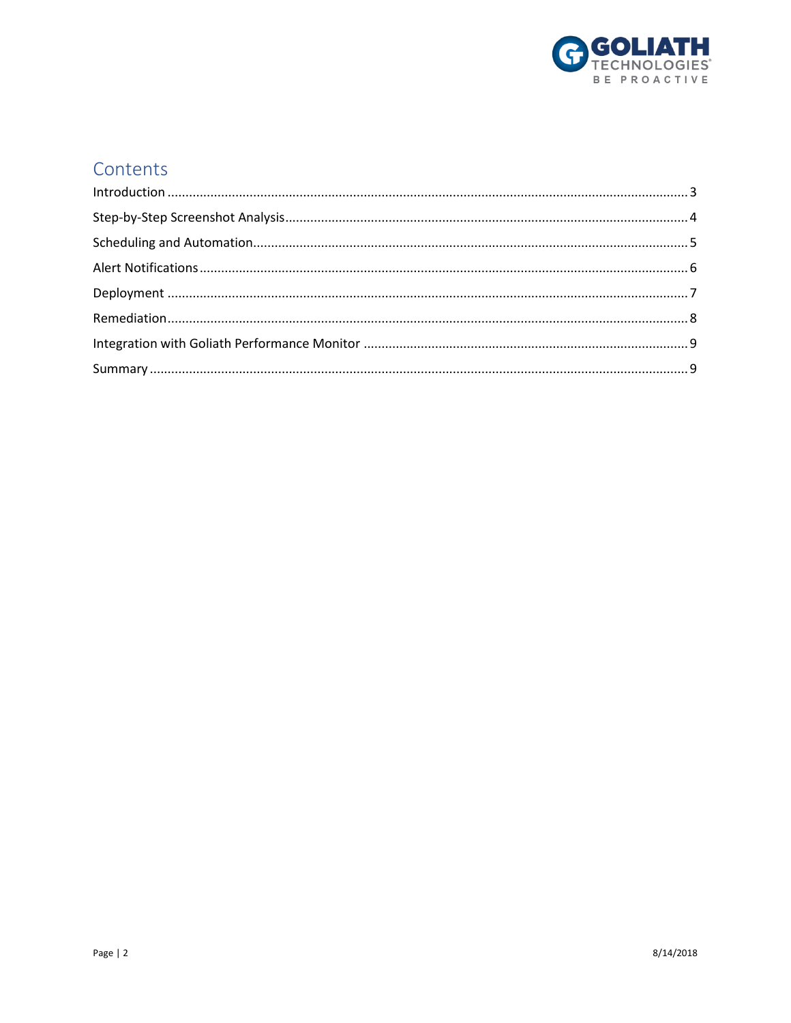

#### Contents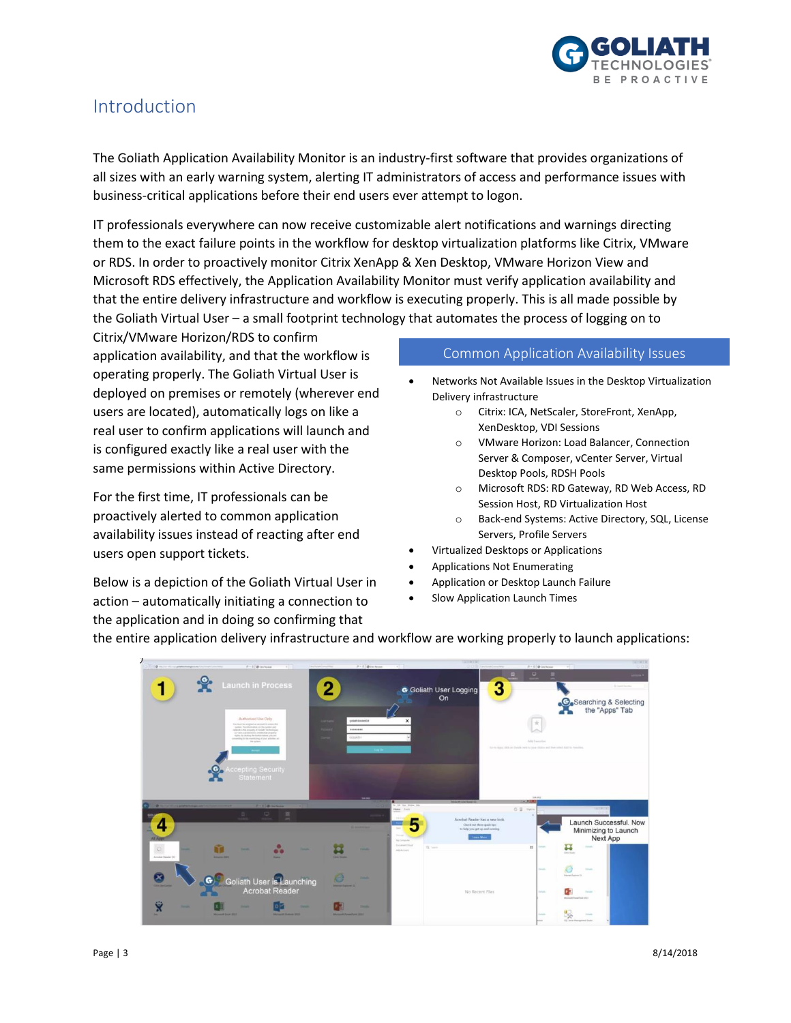

#### <span id="page-2-0"></span>Introduction

The Goliath Application Availability Monitor is an industry-first software that provides organizations of all sizes with an early warning system, alerting IT administrators of access and performance issues with business-critical applications before their end users ever attempt to logon.

IT professionals everywhere can now receive customizable alert notifications and warnings directing them to the exact failure points in the workflow for desktop virtualization platforms like Citrix, VMware or RDS. In order to proactively monitor Citrix XenApp & Xen Desktop, VMware Horizon View and Microsoft RDS effectively, the Application Availability Monitor must verify application availability and that the entire delivery infrastructure and workflow is executing properly. This is all made possible by the Goliath Virtual User – a small footprint technology that automates the process of logging on to

Citrix/VMware Horizon/RDS to confirm application availability, and that the workflow is operating properly. The Goliath Virtual User is deployed on premises or remotely (wherever end users are located), automatically logs on like a real user to confirm applications will launch and is configured exactly like a real user with the same permissions within Active Directory.

For the first time, IT professionals can be proactively alerted to common application availability issues instead of reacting after end users open support tickets.

Below is a depiction of the Goliath Virtual User in action – automatically initiating a connection to the application and in doing so confirming that

#### Common Application Availability Issues

- Networks Not Available Issues in the Desktop Virtualization Delivery infrastructure
	- o Citrix: ICA, NetScaler, StoreFront, XenApp, XenDesktop, VDI Sessions
	- o VMware Horizon: Load Balancer, Connection Server & Composer, vCenter Server, Virtual Desktop Pools, RDSH Pools
	- o Microsoft RDS: RD Gateway, RD Web Access, RD Session Host, RD Virtualization Host
	- o Back-end Systems: Active Directory, SQL, License Servers, Profile Servers
- Virtualized Desktops or Applications
- Applications Not Enumerating
- Application or Desktop Launch Failure
- Slow Application Launch Times



the entire application delivery infrastructure and workflow are working properly to launch applications: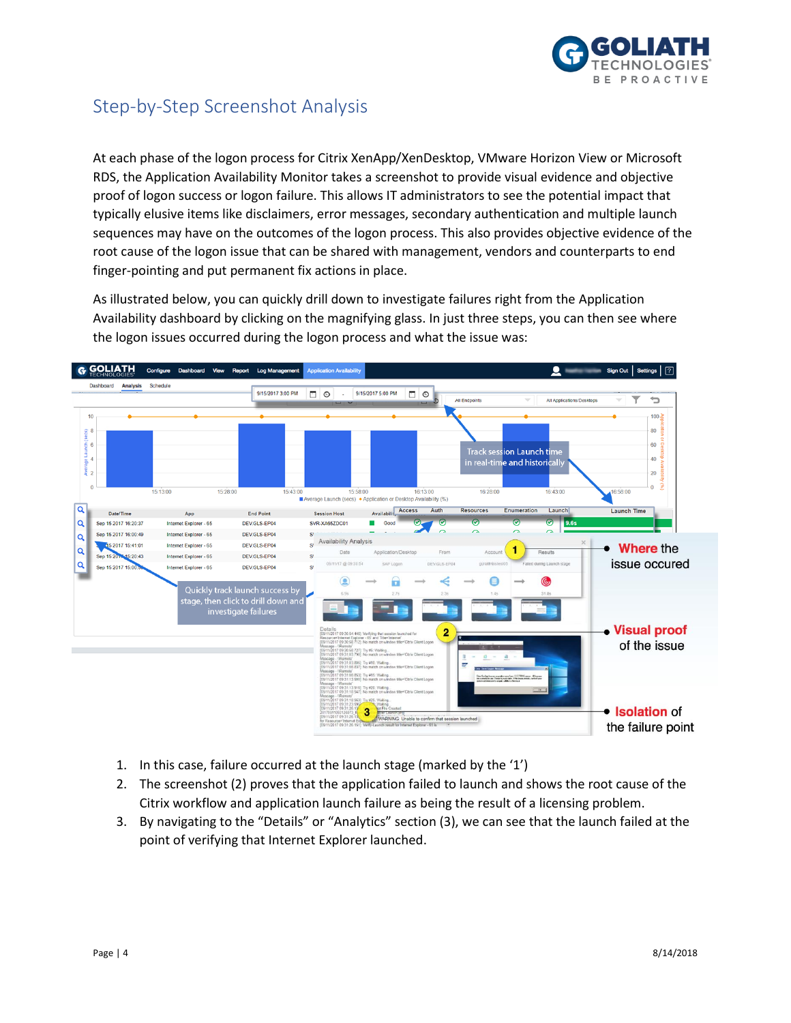

### <span id="page-3-0"></span>Step-by-Step Screenshot Analysis

At each phase of the logon process for Citrix XenApp/XenDesktop, VMware Horizon View or Microsoft RDS, the Application Availability Monitor takes a screenshot to provide visual evidence and objective proof of logon success or logon failure. This allows IT administrators to see the potential impact that typically elusive items like disclaimers, error messages, secondary authentication and multiple launch sequences may have on the outcomes of the logon process. This also provides objective evidence of the root cause of the logon issue that can be shared with management, vendors and counterparts to end finger-pointing and put permanent fix actions in place.

As illustrated below, you can quickly drill down to investigate failures right from the Application Availability dashboard by clicking on the magnifying glass. In just three steps, you can then see where the logon issues occurred during the logon process and what the issue was:



- 1. In this case, failure occurred at the launch stage (marked by the '1')
- 2. The screenshot (2) proves that the application failed to launch and shows the root cause of the Citrix workflow and application launch failure as being the result of a licensing problem.
- 3. By navigating to the "Details" or "Analytics" section (3), we can see that the launch failed at the point of verifying that Internet Explorer launched.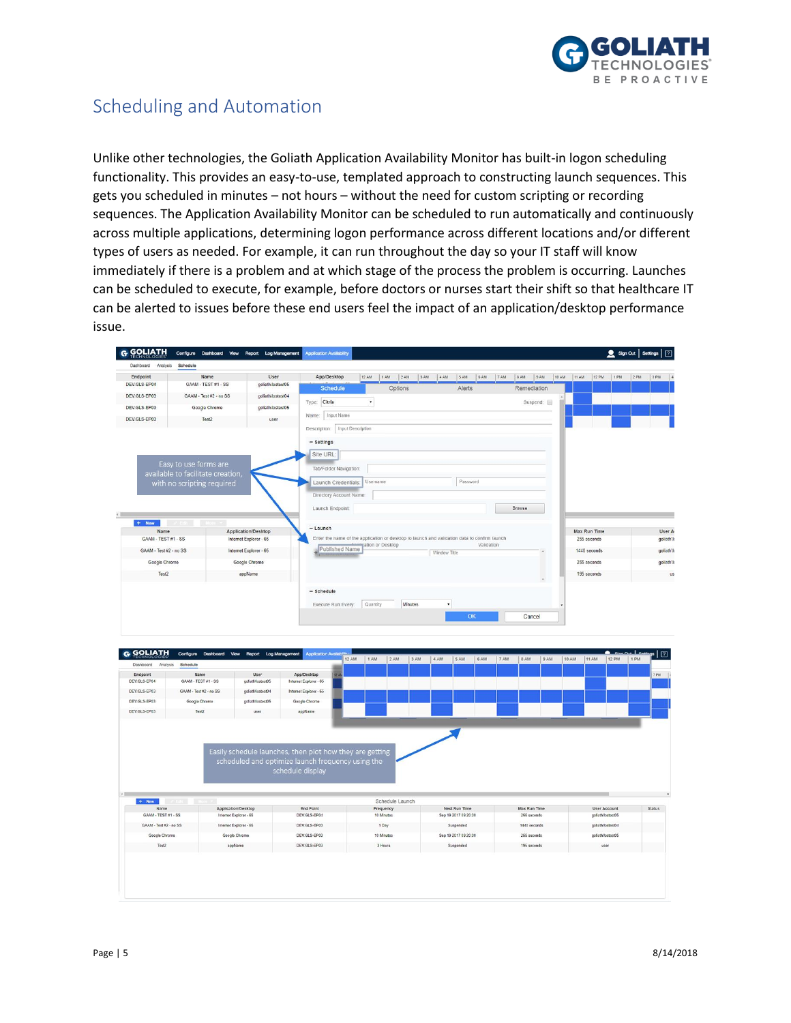

### <span id="page-4-0"></span>Scheduling and Automation

Unlike other technologies, the Goliath Application Availability Monitor has built-in logon scheduling functionality. This provides an easy-to-use, templated approach to constructing launch sequences. This gets you scheduled in minutes – not hours – without the need for custom scripting or recording sequences. The Application Availability Monitor can be scheduled to run automatically and continuously across multiple applications, determining logon performance across different locations and/or different types of users as needed. For example, it can run throughout the day so your IT staff will know immediately if there is a problem and at which stage of the process the problem is occurring. Launches can be scheduled to execute, for example, before doctors or nurses start their shift so that healthcare IT can be alerted to issues before these end users feel the impact of an application/desktop performance issue.

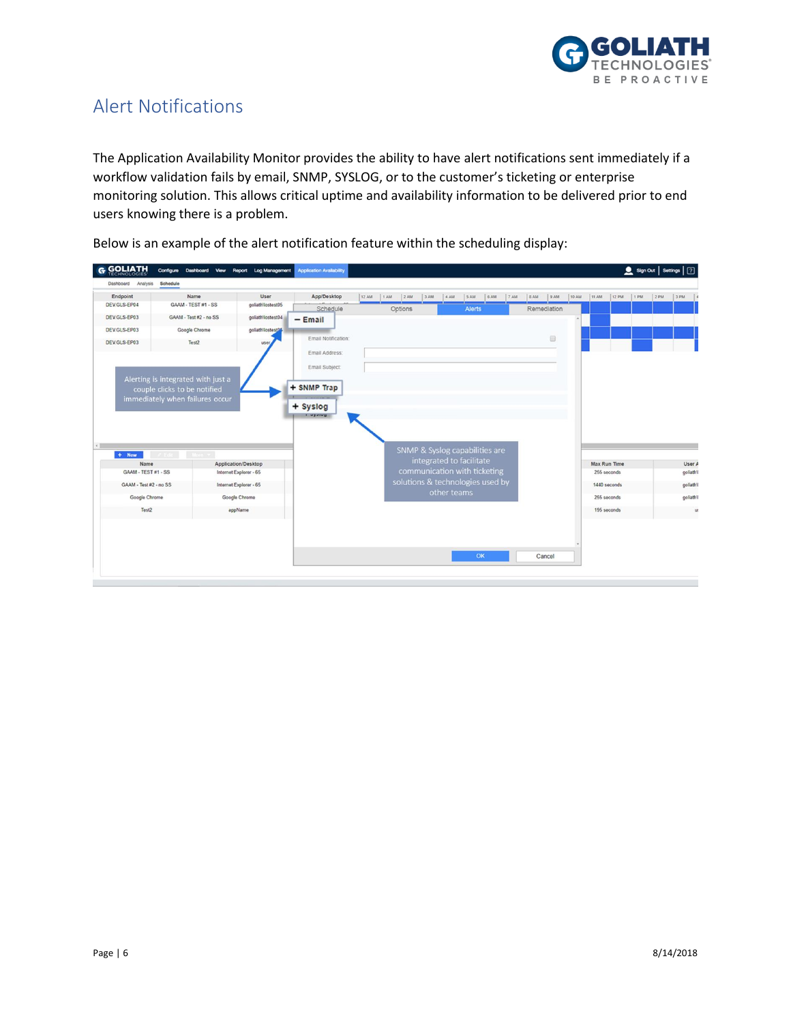

### <span id="page-5-0"></span>Alert Notifications

The Application Availability Monitor provides the ability to have alert notifications sent immediately if a workflow validation fails by email, SNMP, SYSLOG, or to the customer's ticketing or enterprise monitoring solution. This allows critical uptime and availability information to be delivered prior to end users knowing there is a problem.

| <b>G GOLIATH</b>            |                                         |        |  | Configure Dashboard View Report Log Management | <b>Application Availability</b> |       |         |     |      |                                  |     |     |      |                                                                  |        |       |       |                             |      | Sign Out   Settings   [7] |     |                    |
|-----------------------------|-----------------------------------------|--------|--|------------------------------------------------|---------------------------------|-------|---------|-----|------|----------------------------------|-----|-----|------|------------------------------------------------------------------|--------|-------|-------|-----------------------------|------|---------------------------|-----|--------------------|
| Dashboard<br>Analysis       | Schedule                                |        |  |                                                |                                 |       |         |     |      |                                  |     |     |      |                                                                  |        |       |       |                             |      |                           |     |                    |
| Endpoint                    |                                         | Name   |  | User                                           | App/Desktop                     | 12 AM | 1AM     | 2AM | 3 AM | 4 AM                             | SAM | 6AM | 7 AM | $ $ 8 AM                                                         | 9AM    | 10 AM | 11 AM | 12 PM                       | 1 PM | 2PM                       | 3PM |                    |
| DEV.GLS-EP04                | GAAM - TEST#1 - SS<br>goliath\lostest05 |        |  | Schedule                                       |                                 |       | Options |     |      | <b>Alerts</b>                    |     |     |      | Remediation                                                      |        |       |       |                             |      |                           |     |                    |
| DEV.GLS-EP03                | GAAM - Test #2 - no SS                  |        |  | goliath\lostest04                              | $-$ Email                       |       |         |     |      |                                  |     |     |      |                                                                  |        |       |       |                             |      |                           |     |                    |
| DEV.GLS-EP03                | Google Chrome<br>goliath\lostest05      |        |  |                                                |                                 |       |         |     |      |                                  |     |     |      |                                                                  |        |       |       |                             |      |                           |     |                    |
| DEV.GLS-EP03                | Test2<br>user                           |        |  |                                                | Email Notification:             |       |         |     |      |                                  |     |     |      | $\qquad \qquad \qquad \qquad \qquad \qquad \qquad \qquad \qquad$ |        |       |       |                             |      |                           |     |                    |
|                             |                                         |        |  |                                                | Email Address:                  |       |         |     |      |                                  |     |     |      |                                                                  |        |       |       |                             |      |                           |     |                    |
|                             |                                         |        |  |                                                | Email Subject:                  |       |         |     |      |                                  |     |     |      |                                                                  |        |       |       |                             |      |                           |     |                    |
|                             | Alerting is integrated with just a      |        |  |                                                |                                 |       |         |     |      |                                  |     |     |      |                                                                  |        |       |       |                             |      |                           |     |                    |
|                             | couple clicks to be notified            |        |  |                                                | + SNMP Trap                     |       |         |     |      |                                  |     |     |      |                                                                  |        |       |       |                             |      |                           |     |                    |
|                             | immediately when failures occur         |        |  |                                                |                                 |       |         |     |      |                                  |     |     |      |                                                                  |        |       |       |                             |      |                           |     |                    |
|                             |                                         |        |  |                                                | + Syslog                        |       |         |     |      |                                  |     |     |      |                                                                  |        |       |       |                             |      |                           |     |                    |
|                             |                                         |        |  |                                                | <b>BAIRER</b>                   |       |         |     |      |                                  |     |     |      |                                                                  |        |       |       |                             |      |                           |     |                    |
|                             |                                         |        |  |                                                |                                 |       |         |     |      |                                  |     |     |      |                                                                  |        |       |       |                             |      |                           |     |                    |
|                             |                                         |        |  |                                                |                                 |       |         |     |      |                                  |     |     |      |                                                                  |        |       |       |                             |      |                           |     |                    |
|                             |                                         |        |  |                                                |                                 |       |         |     |      | SNMP & Syslog capabilities are   |     |     |      |                                                                  |        |       |       |                             |      |                           |     |                    |
| $+$ New                     |                                         | More # |  |                                                |                                 |       |         |     |      | integrated to facilitate         |     |     |      |                                                                  |        |       |       |                             |      |                           |     |                    |
| Name<br>GAAM - TEST #1 - SS |                                         |        |  | Application/Desktop<br>Internet Explorer - 65  |                                 |       |         |     |      | communication with ticketing     |     |     |      |                                                                  |        |       |       | Max Run Time<br>255 seconds |      |                           |     | User A<br>goliath\ |
|                             |                                         |        |  |                                                |                                 |       |         |     |      | solutions & technologies used by |     |     |      |                                                                  |        |       |       |                             |      |                           |     |                    |
| GAAM - Test #2 - no SS      |                                         |        |  | Internet Explorer - 65                         |                                 |       |         |     |      | other teams                      |     |     |      |                                                                  |        |       |       | 1440 seconds                |      |                           |     | goliath\           |
| Google Chrome               |                                         |        |  | Google Chrome                                  |                                 |       |         |     |      |                                  |     |     |      |                                                                  |        |       |       | 255 seconds                 |      |                           |     | goliath\           |
| Test2                       |                                         |        |  | appName                                        |                                 |       |         |     |      |                                  |     |     |      |                                                                  |        |       |       | 195 seconds                 |      |                           |     | u:                 |
|                             |                                         |        |  |                                                |                                 |       |         |     |      |                                  |     |     |      |                                                                  |        |       |       |                             |      |                           |     |                    |
|                             |                                         |        |  |                                                |                                 |       |         |     |      |                                  |     |     |      |                                                                  |        |       |       |                             |      |                           |     |                    |
|                             |                                         |        |  |                                                |                                 |       |         |     |      |                                  |     |     |      |                                                                  |        |       |       |                             |      |                           |     |                    |
|                             |                                         |        |  |                                                |                                 |       |         |     |      |                                  | OK  |     |      |                                                                  | Cancel |       |       |                             |      |                           |     |                    |
|                             |                                         |        |  |                                                |                                 |       |         |     |      |                                  |     |     |      |                                                                  |        |       |       |                             |      |                           |     |                    |
|                             |                                         |        |  |                                                |                                 |       |         |     |      |                                  |     |     |      |                                                                  |        |       |       |                             |      |                           |     |                    |

Below is an example of the alert notification feature within the scheduling display: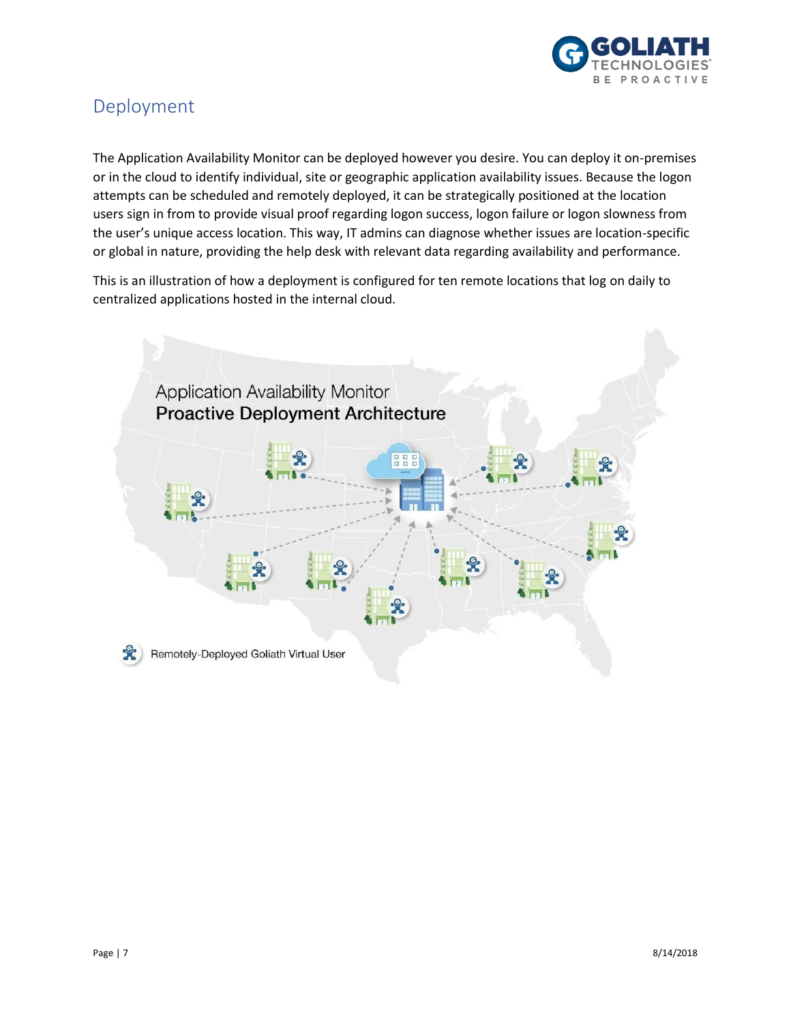

#### <span id="page-6-0"></span>Deployment

The Application Availability Monitor can be deployed however you desire. You can deploy it on-premises or in the cloud to identify individual, site or geographic application availability issues. Because the logon attempts can be scheduled and remotely deployed, it can be strategically positioned at the location users sign in from to provide visual proof regarding logon success, logon failure or logon slowness from the user's unique access location. This way, IT admins can diagnose whether issues are location-specific or global in nature, providing the help desk with relevant data regarding availability and performance.

This is an illustration of how a deployment is configured for ten remote locations that log on daily to centralized applications hosted in the internal cloud.

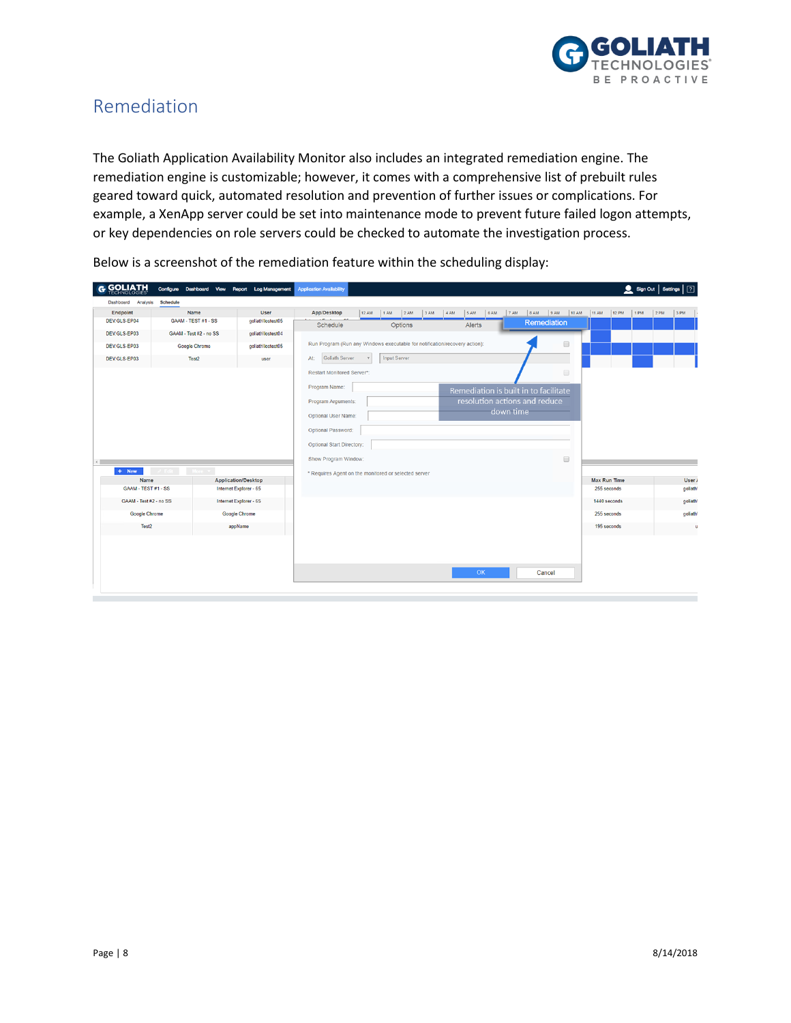

#### <span id="page-7-0"></span>Remediation

The Goliath Application Availability Monitor also includes an integrated remediation engine. The remediation engine is customizable; however, it comes with a comprehensive list of prebuilt rules geared toward quick, automated resolution and prevention of further issues or complications. For example, a XenApp server could be set into maintenance mode to prevent future failed logon attempts, or key dependencies on role servers could be checked to automate the investigation process.

| <b>GOLIATH</b>              | Configure Dashboard View |                                               | Report Log Management | <b>Application Availability</b>                                                                    |       |                     |         |     |      |        |      |           |         |                                       |        |      |                             | Sign Out   Settings   7 |         |                      |             |
|-----------------------------|--------------------------|-----------------------------------------------|-----------------------|----------------------------------------------------------------------------------------------------|-------|---------------------|---------|-----|------|--------|------|-----------|---------|---------------------------------------|--------|------|-----------------------------|-------------------------|---------|----------------------|-------------|
| Dashboard Analysis          | <b>Schedule</b>          |                                               |                       |                                                                                                    |       |                     |         |     |      |        |      |           |         |                                       |        |      |                             |                         |         |                      |             |
| Endpoint                    | Name                     |                                               | <b>User</b>           | App/Desktop                                                                                        | 12 AM | 1 AM                | 2AM     | 3AM | 4 AM | 5 AM   | 6 AM | 7 AM      | $ 8$ AM | 9AM                                   | 10 AM  | 11AM | 12 PM                       | 1 PM                    | $ 2$ PM | 3 PM                 |             |
| DEV.GLS-EP04                | GAAM - TEST #1 - SS      |                                               | goliath\lostest05     | Schedule                                                                                           |       |                     | Options |     |      | Alerts |      |           |         | Remediation                           |        |      |                             |                         |         |                      |             |
| DEV.GLS-EP03                | GAAM - Test #2 - no SS   |                                               | goliath\lostest04     |                                                                                                    |       |                     |         |     |      |        |      |           |         |                                       |        |      |                             |                         |         |                      |             |
| DEV.GLS-EP03                | <b>Google Chrome</b>     |                                               | goliath\lostest05     | $\qquad \qquad \Box$<br>Run Program (Run any Windows executable for notification/recovery action): |       |                     |         |     |      |        |      |           |         |                                       |        |      |                             |                         |         |                      |             |
| DEV.GLS-EP03                | Test2                    |                                               | user                  | Goliath Server<br>At:                                                                              |       | <b>Input Server</b> |         |     |      |        |      |           |         |                                       |        |      |                             |                         |         |                      |             |
|                             |                          |                                               |                       | Restart Monitored Server*:                                                                         |       |                     |         |     |      |        |      |           |         |                                       | $\Box$ |      |                             |                         |         |                      |             |
|                             |                          |                                               |                       | Program Name:                                                                                      |       |                     |         |     |      |        |      |           |         | Remediation is built in to facilitate |        |      |                             |                         |         |                      |             |
|                             |                          |                                               |                       | Program Arguments:                                                                                 |       |                     |         |     |      |        |      |           |         | resolution actions and reduce         |        |      |                             |                         |         |                      |             |
|                             |                          |                                               |                       | Optional User Name:                                                                                |       |                     |         |     |      |        |      | down time |         |                                       |        |      |                             |                         |         |                      |             |
|                             |                          |                                               |                       | Optional Password:                                                                                 |       |                     |         |     |      |        |      |           |         |                                       |        |      |                             |                         |         |                      |             |
|                             |                          | <b>Optional Start Directory:</b>              |                       |                                                                                                    |       |                     |         |     |      |        |      |           |         |                                       |        |      |                             |                         |         |                      |             |
|                             |                          |                                               |                       |                                                                                                    |       |                     |         |     |      |        |      |           |         |                                       |        |      |                             |                         |         |                      |             |
|                             |                          |                                               |                       | Show Program Window:                                                                               |       |                     |         |     |      |        |      |           |         |                                       | $\Box$ |      |                             |                         |         |                      |             |
| $+$ New                     | More <b>v</b><br>Fdit 1  |                                               |                       | * Requires Agent on the monitored or selected server                                               |       |                     |         |     |      |        |      |           |         |                                       |        |      |                             |                         |         |                      |             |
| Name<br>GAAM - TEST #1 - SS |                          | Application/Desktop<br>Internet Explorer - 65 |                       |                                                                                                    |       |                     |         |     |      |        |      |           |         |                                       |        |      | Max Run Time<br>255 seconds |                         |         | User /               |             |
|                             |                          |                                               |                       |                                                                                                    |       |                     |         |     |      |        |      |           |         |                                       |        |      |                             |                         |         | goliath <sup>1</sup> |             |
| GAAM - Test #2 - no SS      |                          | Internet Explorer - 65                        |                       |                                                                                                    |       |                     |         |     |      |        |      |           |         |                                       |        |      | 1440 seconds                |                         |         | goliath)             |             |
| <b>Google Chrome</b>        |                          | <b>Google Chrome</b>                          |                       |                                                                                                    |       |                     |         |     |      |        |      |           |         |                                       |        |      | 255 seconds                 |                         |         | goliath)             |             |
| Test2                       |                          | appName                                       |                       |                                                                                                    |       |                     |         |     |      |        |      |           |         |                                       |        |      | 195 seconds                 |                         |         |                      | $\mathbf u$ |
|                             |                          |                                               |                       |                                                                                                    |       |                     |         |     |      |        |      |           |         |                                       |        |      |                             |                         |         |                      |             |
|                             |                          |                                               |                       |                                                                                                    |       |                     |         |     |      |        |      |           |         |                                       |        |      |                             |                         |         |                      |             |
|                             |                          |                                               |                       |                                                                                                    |       |                     |         |     |      |        |      |           |         |                                       |        |      |                             |                         |         |                      |             |
|                             |                          |                                               |                       |                                                                                                    |       |                     |         |     |      | OK     |      |           |         | Cancel                                |        |      |                             |                         |         |                      |             |
|                             |                          |                                               |                       |                                                                                                    |       |                     |         |     |      |        |      |           |         |                                       |        |      |                             |                         |         |                      |             |

Below is a screenshot of the remediation feature within the scheduling display: